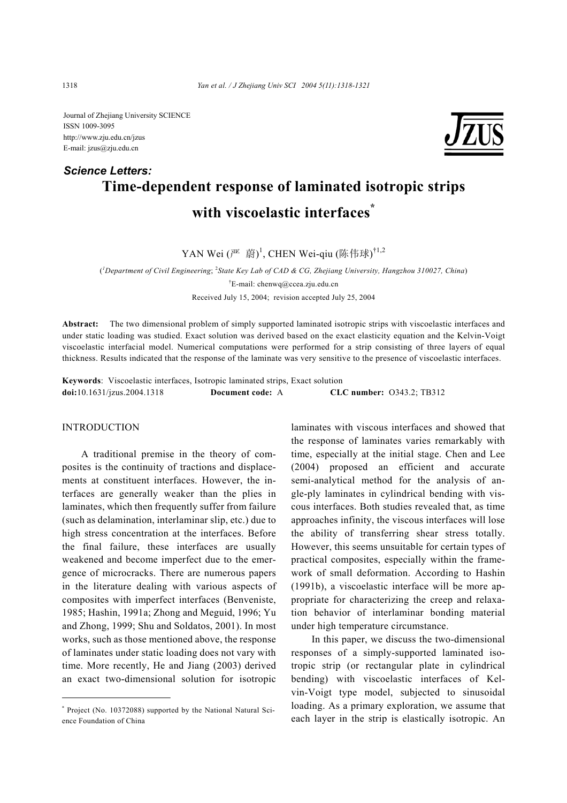Journal of Zhejiang University SCIENCE ISSN 1009-3095 http://www.zju.edu.cn/jzus E-mail: jzus@zju.edu.cn

# **Time-dependent response of laminated isotropic strips with viscoelastic interfaces\***  *Science Letters:*

 $YAN$  Wei  $(\overline{f^{\mu}} \quad \overline{g}^{\mu})^1$ , CHEN Wei-qiu (陈伟球) $^{\dagger1,2}$ 

( *1 Department of Civil Engineering*; <sup>2</sup> *State Key Lab of CAD & CG, Zhejiang University, Hangzhou 310027, China*) † E-mail: chenwq@ccea.zju.edu.cn Received July 15, 2004; revision accepted July 25, 2004

**Abstract:** The two dimensional problem of simply supported laminated isotropic strips with viscoelastic interfaces and under static loading was studied. Exact solution was derived based on the exact elasticity equation and the Kelvin-Voigt viscoelastic interfacial model. Numerical computations were performed for a strip consisting of three layers of equal thickness. Results indicated that the response of the laminate was very sensitive to the presence of viscoelastic interfaces.

**Keywords**: Viscoelastic interfaces, Isotropic laminated strips, Exact solution **doi:**10.1631/jzus.2004.1318 **Document code:** A **CLC number:** O343.2; TB312

## **INTRODUCTION**

A traditional premise in the theory of composites is the continuity of tractions and displacements at constituent interfaces. However, the interfaces are generally weaker than the plies in laminates, which then frequently suffer from failure (such as delamination, interlaminar slip, etc.) due to high stress concentration at the interfaces. Before the final failure, these interfaces are usually weakened and become imperfect due to the emergence of microcracks. There are numerous papers in the literature dealing with various aspects of composites with imperfect interfaces (Benveniste, 1985; Hashin, 1991a; Zhong and Meguid, 1996; Yu and Zhong, 1999; Shu and Soldatos, 2001). In most works, such as those mentioned above, the response of laminates under static loading does not vary with time. More recently, He and Jiang (2003) derived an exact two-dimensional solution for isotropic

laminates with viscous interfaces and showed that the response of laminates varies remarkably with time, especially at the initial stage. Chen and Lee (2004) proposed an efficient and accurate semi-analytical method for the analysis of angle-ply laminates in cylindrical bending with viscous interfaces. Both studies revealed that, as time approaches infinity, the viscous interfaces will lose the ability of transferring shear stress totally. However, this seems unsuitable for certain types of practical composites, especially within the framework of small deformation. According to Hashin (1991b), a viscoelastic interface will be more appropriate for characterizing the creep and relaxation behavior of interlaminar bonding material under high temperature circumstance.

In this paper, we discuss the two-dimensional responses of a simply-supported laminated isotropic strip (or rectangular plate in cylindrical bending) with viscoelastic interfaces of Kelvin-Voigt type model, subjected to sinusoidal loading. As a primary exploration, we assume that each layer in the strip is elastically isotropic. An

<sup>\*</sup> Project (No. 10372088) supported by the National Natural Science Foundation of China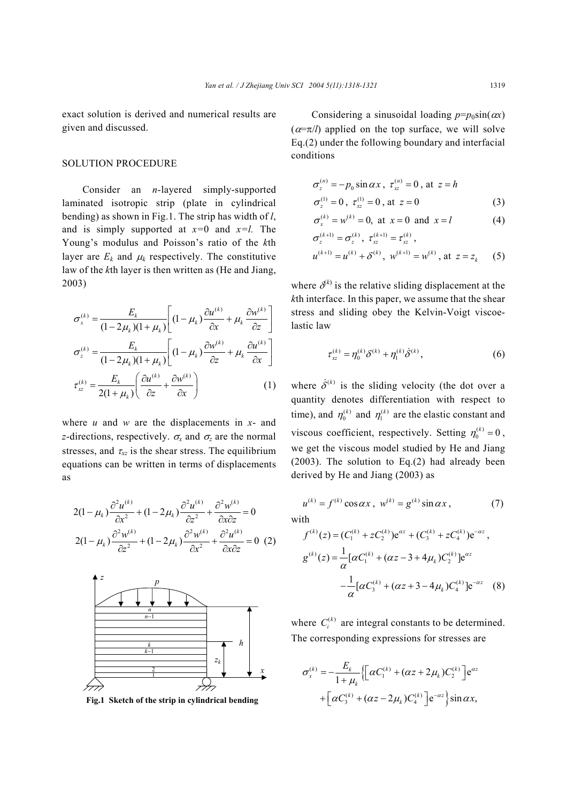exact solution is derived and numerical results are given and discussed.

#### SOLUTION PROCEDURE

Consider an *n*-layered simply-supported laminated isotropic strip (plate in cylindrical bending) as shown in Fig.1. The strip has width of *l*, and is simply supported at *x=*0 and *x=l.* The Young's modulus and Poisson's ratio of the *k*th layer are  $E_k$  and  $\mu_k$  respectively. The constitutive law of the *k*th layer is then written as (He and Jiang, 2003)

$$
\sigma_x^{(k)} = \frac{E_k}{(1 - 2\mu_k)(1 + \mu_k)} \left[ (1 - \mu_k) \frac{\partial u^{(k)}}{\partial x} + \mu_k \frac{\partial w^{(k)}}{\partial z} \right]
$$

$$
\sigma_z^{(k)} = \frac{E_k}{(1 - 2\mu_k)(1 + \mu_k)} \left[ (1 - \mu_k) \frac{\partial w^{(k)}}{\partial z} + \mu_k \frac{\partial u^{(k)}}{\partial x} \right]
$$

$$
\tau_{xz}^{(k)} = \frac{E_k}{2(1 + \mu_k)} \left( \frac{\partial u^{(k)}}{\partial z} + \frac{\partial w^{(k)}}{\partial x} \right) \tag{1}
$$

where *u* and *w* are the displacements in *x*- and *z*-directions, respectively.  $\sigma_x$  and  $\sigma_z$  are the normal stresses, and  $\tau_{xz}$  is the shear stress. The equilibrium equations can be written in terms of displacements as

$$
2(1 - \mu_k) \frac{\partial^2 u^{(k)}}{\partial x^2} + (1 - 2\mu_k) \frac{\partial^2 u^{(k)}}{\partial z^2} + \frac{\partial^2 w^{(k)}}{\partial x \partial z} = 0
$$
  

$$
2(1 - \mu_k) \frac{\partial^2 w^{(k)}}{\partial z^2} + (1 - 2\mu_k) \frac{\partial^2 w^{(k)}}{\partial x^2} + \frac{\partial^2 u^{(k)}}{\partial x \partial z} = 0
$$
 (2)



+ +− **Fig.1 Sketch of the strip in cylindrical bending**

Considering a sinusoidal loading  $p=p_0\sin(\alpha x)$  $(\alpha = \pi/l)$  applied on the top surface, we will solve Eq.(2) under the following boundary and interfacial conditions

$$
\sigma_z^{(n)} = -p_0 \sin \alpha x , \ \tau_{xz}^{(n)} = 0 , \ \text{at} \ \ z = h
$$
  

$$
\sigma_z^{(1)} = 0 , \ \tau_{xz}^{(1)} = 0 , \ \text{at} \ \ z = 0
$$
 (3)

$$
\sigma_x^{(k)} = w^{(k)} = 0
$$
, at  $x = 0$  and  $x = l$  (4)

$$
\sigma_z^{(k+1)} = \sigma_z^{(k)}, \ \tau_{xz}^{(k+1)} = \tau_{xz}^{(k)},
$$
  

$$
u^{(k+1)} = u^{(k)} + \delta^{(k)}, \ w^{(k+1)} = w^{(k)}, \text{ at } z = z_k \tag{5}
$$

where  $\delta^{(k)}$  is the relative sliding displacement at the *k*th interface. In this paper, we assume that the shear stress and sliding obey the Kelvin-Voigt viscoelastic law

$$
\tau_{xz}^{(k)} = \eta_0^{(k)} \delta^{(k)} + \eta_1^{(k)} \dot{\delta}^{(k)},
$$
\n(6)

where  $\dot{\delta}^{(k)}$  is the sliding velocity (the dot over a quantity denotes differentiation with respect to time), and  $\eta_0^{(k)}$  and  $\eta_1^{(k)}$  are the elastic constant and viscous coefficient, respectively. Setting  $\eta_0^{(k)} = 0$ , we get the viscous model studied by He and Jiang (2003). The solution to Eq.(2) had already been derived by He and Jiang (2003) as

$$
u^{(k)} = f^{(k)} \cos \alpha x, \ w^{(k)} = g^{(k)} \sin \alpha x, \tag{7}
$$
  
with

$$
f^{(k)}(z) = (C_1^{(k)} + zC_2^{(k)})e^{\alpha z} + (C_3^{(k)} + zC_4^{(k)})e^{-\alpha z},
$$
  
\n
$$
g^{(k)}(z) = \frac{1}{\alpha} [\alpha C_1^{(k)} + (\alpha z - 3 + 4\mu_k)C_2^{(k)}]e^{\alpha z}
$$
  
\n
$$
-\frac{1}{\alpha} [\alpha C_3^{(k)} + (\alpha z + 3 - 4\mu_k)C_4^{(k)}]e^{-\alpha z}
$$
 (8)

where  $C_i^{(k)}$  are integral constants to be determined. The corresponding expressions for stresses are

$$
\sigma_x^{(k)} = -\frac{E_k}{1 + \mu_k} \Biggl\{ \Bigl[ \alpha C_1^{(k)} + (\alpha z + 2\mu_k) C_2^{(k)} \Bigr] e^{\alpha z} + \Bigl[ \alpha C_3^{(k)} + (\alpha z - 2\mu_k) C_4^{(k)} \Bigr] e^{-\alpha z} \Biggr\} \sin \alpha x,
$$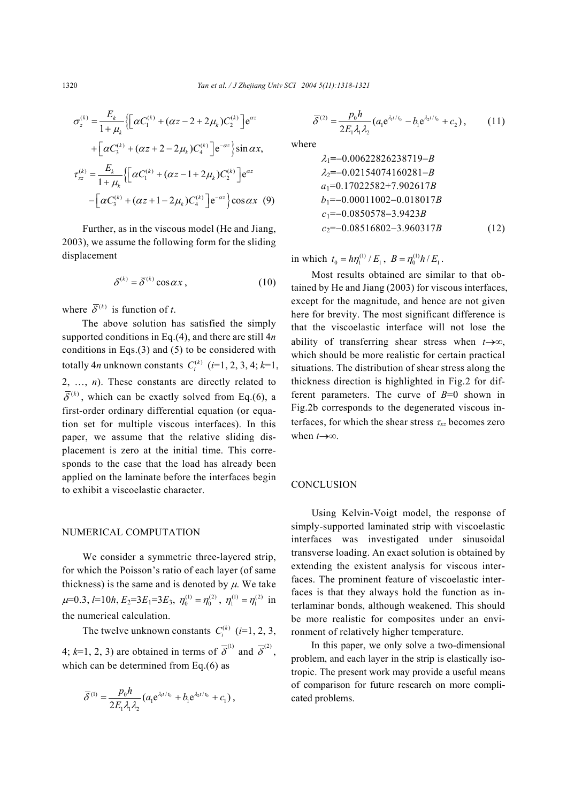$$
\sigma_z^{(k)} = \frac{E_k}{1 + \mu_k} \{ \left[ \alpha C_1^{(k)} + (\alpha z - 2 + 2\mu_k) C_2^{(k)} \right] e^{\alpha z} \n+ \left[ \alpha C_3^{(k)} + (\alpha z + 2 - 2\mu_k) C_4^{(k)} \right] e^{-\alpha z} \} \sin \alpha x,
$$
\n
$$
\tau_{xz}^{(k)} = \frac{E_k}{1 + \mu_k} \{ \left[ \alpha C_1^{(k)} + (\alpha z - 1 + 2\mu_k) C_2^{(k)} \right] e^{-\alpha z} \n- \left[ \alpha C_3^{(k)} + (\alpha z + 1 - 2\mu_k) C_4^{(k)} \right] e^{-\alpha z} \} \cos \alpha x \tag{9}
$$

Further, as in the viscous model (He and Jiang, 2003), we assume the following form for the sliding displacement

$$
\delta^{(k)} = \overline{\delta}^{(k)} \cos \alpha x \,, \tag{10}
$$

where  $\overline{\delta}^{(k)}$  is function of *t*.

The above solution has satisfied the simply supported conditions in Eq.(4), and there are still 4*n* conditions in Eqs.(3) and (5) to be considered with totally 4*n* unknown constants  $C_i^{(k)}$  (*i*=1, 2, 3, 4; *k*=1, 2, …, *n*). These constants are directly related to  $\overline{\delta}^{(k)}$ , which can be exactly solved from Eq.(6), a first-order ordinary differential equation (or equation set for multiple viscous interfaces). In this paper, we assume that the relative sliding displacement is zero at the initial time. This corresponds to the case that the load has already been applied on the laminate before the interfaces begin to exhibit a viscoelastic character.

#### NUMERICAL COMPUTATION

We consider a symmetric three-layered strip, for which the Poisson's ratio of each layer (of same thickness) is the same and is denoted by  $\mu$ . We take  $\mu$ =0.3,  $l$ =10*h*,  $E_2$ =3 $E_1$ =3 $E_3$ ,  $\eta_0^{(1)} = \eta_0^{(2)}$ ,  $\eta_1^{(1)} = \eta_1^{(2)}$  in the numerical calculation.

The twelve unknown constants  $C_i^{(k)}$  (*i*=1, 2, 3, 4;  $k=1, 2, 3$ ) are obtained in terms of  $\overline{\delta}^{(1)}$  and  $\overline{\delta}^{(2)}$ , which can be determined from Eq.(6) as

$$
\overline{\delta}^{(1)} = \frac{p_0 h}{2E_1 \lambda_1 \lambda_2} (a_1 e^{\lambda_1 t / t_0} + b_1 e^{\lambda_2 t / t_0} + c_1),
$$

$$
\overline{\delta}^{(2)} = \frac{p_0 h}{2E_1 \lambda_1 \lambda_2} (a_1 e^{\lambda_1 t / t_0} - b_1 e^{\lambda_2 t / t_0} + c_2), \quad (11)
$$

where

$$
\lambda_1 = -0.00622826238719 - B \n\lambda_2 = -0.02154074160281 - B \na_1 = 0.17022582 + 7.902617B \nb_1 = -0.00011002 - 0.018017B \nc_1 = -0.0850578 - 3.9423B \nc_2 = -0.08516802 - 3.960317B
$$
\n(12)

in which  $t_0 = h\eta_1^{(1)}/E_1$ ,  $B = \eta_0^{(1)}h/E_1$ .

Most results obtained are similar to that obtained by He and Jiang (2003) for viscous interfaces, except for the magnitude, and hence are not given here for brevity. The most significant difference is that the viscoelastic interface will not lose the ability of transferring shear stress when *t*→∞, which should be more realistic for certain practical situations. The distribution of shear stress along the thickness direction is highlighted in Fig.2 for different parameters. The curve of *B*=0 shown in Fig.2b corresponds to the degenerated viscous interfaces, for which the shear stress <sup>τ</sup>*xz* becomes zero when *t*→∞.

### **CONCLUSION**

Using Kelvin-Voigt model, the response of simply-supported laminated strip with viscoelastic interfaces was investigated under sinusoidal transverse loading. An exact solution is obtained by extending the existent analysis for viscous interfaces. The prominent feature of viscoelastic interfaces is that they always hold the function as interlaminar bonds, although weakened. This should be more realistic for composites under an environment of relatively higher temperature.

In this paper, we only solve a two-dimensional problem, and each layer in the strip is elastically isotropic. The present work may provide a useful means of comparison for future research on more complicated problems.